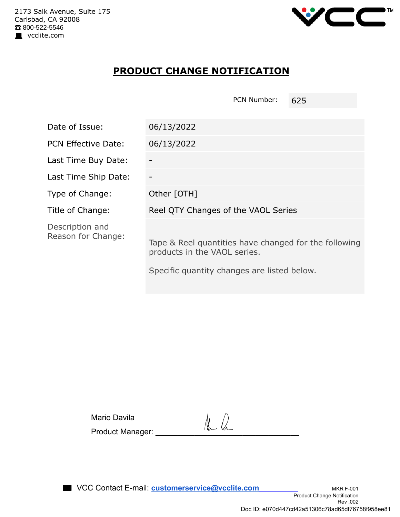

## **PRODUCT CHANGE NOTIFICATION**

PCN Number: 625

| Date of Issue:                        | 06/13/2022                                                                            |  |  |  |  |
|---------------------------------------|---------------------------------------------------------------------------------------|--|--|--|--|
| <b>PCN Effective Date:</b>            | 06/13/2022                                                                            |  |  |  |  |
| Last Time Buy Date:                   |                                                                                       |  |  |  |  |
| Last Time Ship Date:                  |                                                                                       |  |  |  |  |
| Type of Change:                       | Other [OTH]                                                                           |  |  |  |  |
| Title of Change:                      | Reel QTY Changes of the VAOL Series                                                   |  |  |  |  |
| Description and<br>Reason for Change: | Tape & Reel quantities have changed for the following<br>products in the VAOL series. |  |  |  |  |
|                                       | Specific quantity changes are listed below.                                           |  |  |  |  |

| Mario Davila     | New 16 |
|------------------|--------|
| Product Manager: |        |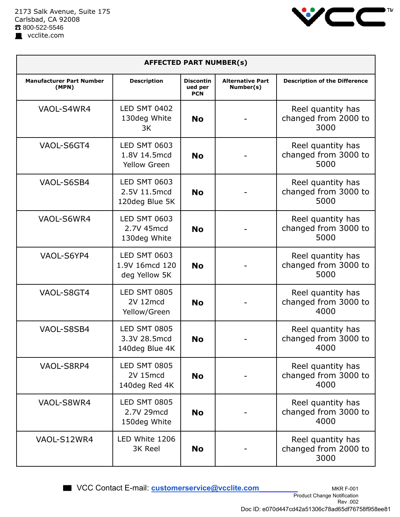

| <b>AFFECTED PART NUMBER(s)</b>           |                                                            |                                           |                                      |                                                   |  |  |
|------------------------------------------|------------------------------------------------------------|-------------------------------------------|--------------------------------------|---------------------------------------------------|--|--|
| <b>Manufacturer Part Number</b><br>(MPN) | <b>Description</b>                                         | <b>Discontin</b><br>ued per<br><b>PCN</b> | <b>Alternative Part</b><br>Number(s) | <b>Description of the Difference</b>              |  |  |
| VAOL-S4WR4                               | <b>LED SMT 0402</b><br>130deg White<br>3K                  | <b>No</b>                                 |                                      | Reel quantity has<br>changed from 2000 to<br>3000 |  |  |
| VAOL-S6GT4                               | <b>LED SMT 0603</b><br>1.8V 14.5mcd<br><b>Yellow Green</b> | <b>No</b>                                 |                                      | Reel quantity has<br>changed from 3000 to<br>5000 |  |  |
| VAOL-S6SB4                               | <b>LED SMT 0603</b><br>2.5V 11.5mcd<br>120deg Blue 5K      | <b>No</b>                                 |                                      | Reel quantity has<br>changed from 3000 to<br>5000 |  |  |
| VAOL-S6WR4                               | <b>LED SMT 0603</b><br>2.7V 45mcd<br>130deg White          | <b>No</b>                                 |                                      | Reel quantity has<br>changed from 3000 to<br>5000 |  |  |
| VAOL-S6YP4                               | <b>LED SMT 0603</b><br>1.9V 16mcd 120<br>deg Yellow 5K     | <b>No</b>                                 |                                      | Reel quantity has<br>changed from 3000 to<br>5000 |  |  |
| VAOL-S8GT4                               | <b>LED SMT 0805</b><br>2V 12mcd<br>Yellow/Green            | <b>No</b>                                 |                                      | Reel quantity has<br>changed from 3000 to<br>4000 |  |  |
| VAOL-S8SB4                               | <b>LED SMT 0805</b><br>3.3V 28.5mcd<br>140deg Blue 4K      | <b>No</b>                                 |                                      | Reel quantity has<br>changed from 3000 to<br>4000 |  |  |
| VAOL-S8RP4                               | <b>LED SMT 0805</b><br><b>2V 15mcd</b><br>140deg Red 4K    | <b>No</b>                                 |                                      | Reel quantity has<br>changed from 3000 to<br>4000 |  |  |
| VAOL-S8WR4                               | <b>LED SMT 0805</b><br>2.7V 29mcd<br>150deg White          | <b>No</b>                                 |                                      | Reel quantity has<br>changed from 3000 to<br>4000 |  |  |
| VAOL-S12WR4                              | LED White 1206<br>3K Reel                                  | <b>No</b>                                 |                                      | Reel quantity has<br>changed from 2000 to<br>3000 |  |  |

■ VCC Contact E-mail: **customerservice@vcclite.com** MKR F-001